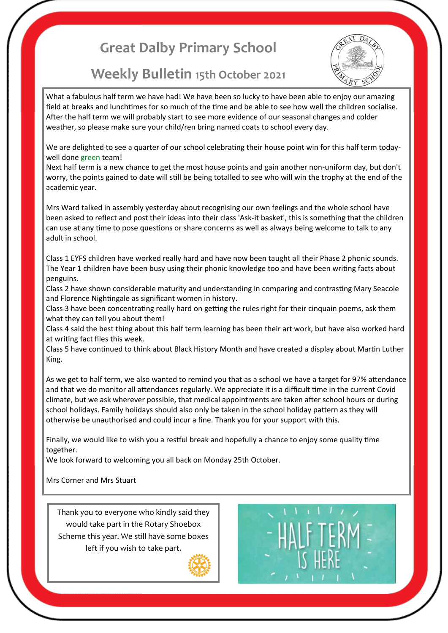# **Great Dalby Primary School**

## **Weekly Bulletin 15th October 2021**



What a fabulous half term we have had! We have been so lucky to have been able to enjoy our amazing field at breaks and lunchtimes for so much of the time and be able to see how well the children socialise. After the half term we will probably start to see more evidence of our seasonal changes and colder weather, so please make sure your child/ren bring named coats to school every day.

We are delighted to see a quarter of our school celebrating their house point win for this half term todaywell done green team!

Next half term is a new chance to get the most house points and gain another non-uniform day, but don't worry, the points gained to date will still be being totalled to see who will win the trophy at the end of the academic year.

Mrs Ward talked in assembly yesterday about recognising our own feelings and the whole school have been asked to reflect and post their ideas into their class 'Ask-it basket', this is something that the children can use at any time to pose questions or share concerns as well as always being welcome to talk to any adult in school.

Class 1 EYFS children have worked really hard and have now been taught all their Phase 2 phonic sounds. The Year 1 children have been busy using their phonic knowledge too and have been writing facts about penguins.

Class 2 have shown considerable maturity and understanding in comparing and contrasting Mary Seacole and Florence Nightingale as significant women in history.

Class 3 have been concentrating really hard on getting the rules right for their cinquain poems, ask them what they can tell you about them!

Class 4 said the best thing about this half term learning has been their art work, but have also worked hard at writing fact files this week.

Class 5 have continued to think about Black History Month and have created a display about Martin Luther King.

As we get to half term, we also wanted to remind you that as a school we have a target for 97% attendance and that we do monitor all attendances regularly. We appreciate it is a difficult time in the current Covid climate, but we ask wherever possible, that medical appointments are taken after school hours or during school holidays. Family holidays should also only be taken in the school holiday pattern as they will otherwise be unauthorised and could incur a fine. Thank you for your support with this.

Finally, we would like to wish you a restful break and hopefully a chance to enjoy some quality time together.

We look forward to welcoming you all back on Monday 25th October.

#### Mrs Corner and Mrs Stuart

Thank you to everyone who kindly said they would take part in the Rotary Shoebox Scheme this year. We still have some boxes left if you wish to take part.



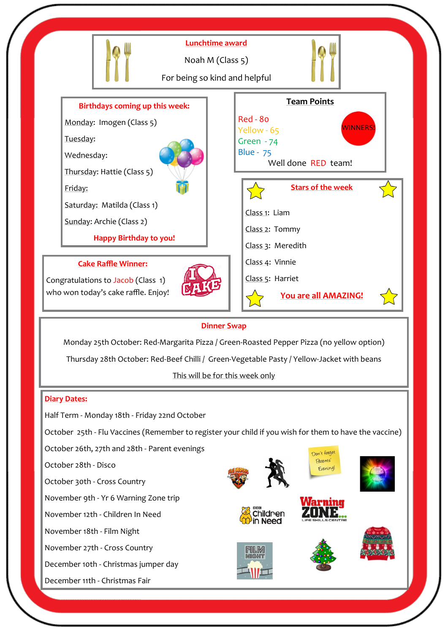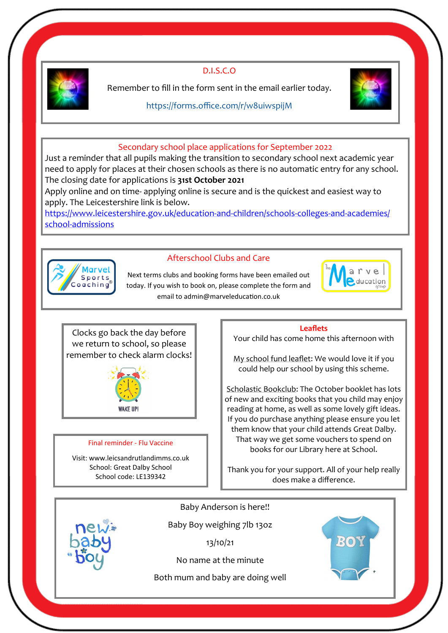

D.I.S.C.O

Remember to fill in the form sent in the email earlier today.

### <https://forms.office.com/r/w8uiwspijM>



## Secondary school place applications for September 2022

Just a reminder that all pupils making the transition to secondary school next academic year need to apply for places at their chosen schools as there is no automatic entry for any school. The closing date for applications is **31st October 2021**

Apply online and on time- applying online is secure and is the quickest and easiest way to apply. The Leicestershire link is below.

[https://www.leicestershire.gov.uk/education](https://www.leicestershire.gov.uk/education-and-children/schools-colleges-and-academies/school-admissions)-and-children/schools-colleges-and-academies/ school-[admissions](https://www.leicestershire.gov.uk/education-and-children/schools-colleges-and-academies/school-admissions)



## Afterschool Clubs and Care

Next terms clubs and booking forms have been emailed out today. If you wish to book on, please complete the form and email to admin@marveleducation.co.uk



Clocks go back the day before we return to school, so please remember to check alarm clocks!



#### Final reminder - Flu Vaccine

Visit: www.leicsandrutlandimms.co.uk School: Great Dalby School School code: LE139342

#### **Leaflets**

Your child has come home this afternoon with

My school fund leaflet: We would love it if you could help our school by using this scheme.

Scholastic Bookclub: The October booklet has lots of new and exciting books that you child may enjoy reading at home, as well as some lovely gift ideas. If you do purchase anything please ensure you let them know that your child attends Great Dalby. That way we get some vouchers to spend on books for our Library here at School.

Thank you for your support. All of your help really does make a difference.



Baby Anderson is here!!

Baby Boy weighing 7lb 13oz

13/10/21

No name at the minute

Both mum and baby are doing well